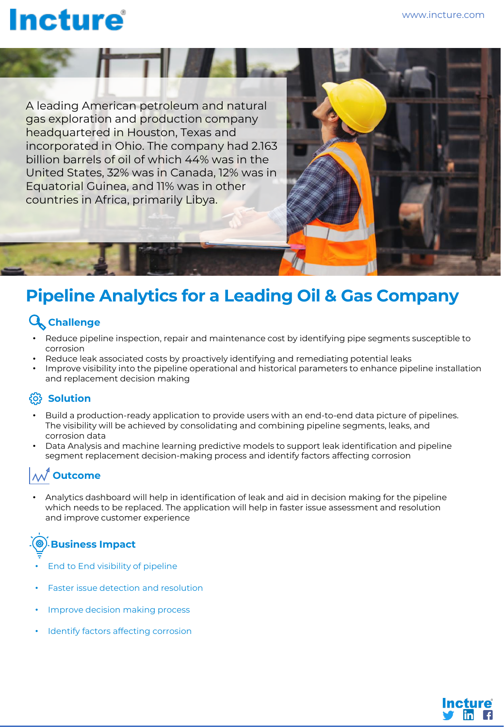# **Incture**

A leading American petroleum and natural gas exploration and production company headquartered in Houston, Texas and incorporated in Ohio. The company had 2.163 billion barrels of oil of which 44% was in the United States, 32% was in Canada, 12% was in Equatorial Guinea, and 11% was in other countries in Africa, primarily Libya.

### **Pipeline Analytics for a Leading Oil & Gas Company**

#### **Challenge**

- Reduce pipeline inspection, repair and maintenance cost by identifying pipe segments susceptible to corrosion
- Reduce leak associated costs by proactively identifying and remediating potential leaks
- Improve visibility into the pipeline operational and historical parameters to enhance pipeline installation and replacement decision making

#### $\{0\}$  Solution

- Build a production-ready application to provide users with an end-to-end data picture of pipelines. The visibility will be achieved by consolidating and combining pipeline segments, leaks, and corrosion data
- Data Analysis and machine learning predictive models to support leak identification and pipeline segment replacement decision-making process and identify factors affecting corrosion

### **Outcome**

• Analytics dashboard will help in identification of leak and aid in decision making for the pipeline which needs to be replaced. The application will help in faster issue assessment and resolution and improve customer experience

## **Business Impact**

- End to End visibility of pipeline
- Faster issue detection and resolution
- Improve decision making process
- Identify factors affecting corrosion